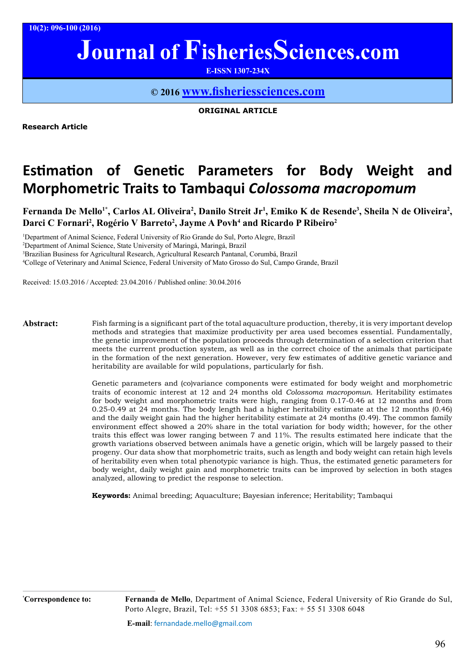**10(2): 096-100 (2016)**

# **Journal of FisheriesSciences.com**

**E-ISSN 1307-234X**

### **© 2016 www.fi[sheriessciences.com](http://www.fisheriessciences.com/)**

**ORIGINAL ARTICLE**

**Research Article**

## **Estimation of Genetic Parameters for Body Weight and Morphometric Traits to Tambaqui** *Colossoma macropomum*

Fernanda De Mello<sup>1\*</sup>, Carlos AL Oliveira<sup>2</sup>, Danilo Streit Jr<sup>1</sup>, Emiko K de Resende<sup>3</sup>, Sheila N de Oliveira<sup>2</sup>, **Darci C Fornari2 , Rogério V Barreto2 , Jayme A Povh4 and Ricardo P Ribeiro2**

 Department of Animal Science, Federal University of Rio Grande do Sul, Porto Alegre, Brazil Department of Animal Science, State University of Maringá, Maringá, Brazil Brazilian Business for Agricultural Research, Agricultural Research Pantanal, Corumbá, Brazil College of Veterinary and Animal Science, Federal University of Mato Grosso do Sul, Campo Grande, Brazil

Received: 15.03.2016 / Accepted: 23.04.2016 / Published online: 30.04.2016

**Abstract:** Fish farming is a significant part of the total aquaculture production, thereby, it is very important develop methods and strategies that maximize productivity per area used becomes essential. Fundamentally, the genetic improvement of the population proceeds through determination of a selection criterion that meets the current production system, as well as in the correct choice of the animals that participate in the formation of the next generation. However, very few estimates of additive genetic variance and heritability are available for wild populations, particularly for fish.

> Genetic parameters and (co)variance components were estimated for body weight and morphometric traits of economic interest at 12 and 24 months old *Colossoma macropomun*. Heritability estimates for body weight and morphometric traits were high, ranging from 0.17-0.46 at 12 months and from 0.25-0.49 at 24 months. The body length had a higher heritability estimate at the 12 months (0.46) and the daily weight gain had the higher heritability estimate at 24 months (0.49). The common family environment effect showed a 20% share in the total variation for body width; however, for the other traits this effect was lower ranging between 7 and 11%. The results estimated here indicate that the growth variations observed between animals have a genetic origin, which will be largely passed to their progeny. Our data show that morphometric traits, such as length and body weight can retain high levels of heritability even when total phenotypic variance is high. Thus, the estimated genetic parameters for body weight, daily weight gain and morphometric traits can be improved by selection in both stages analyzed, allowing to predict the response to selection.

**Keywords:** Animal breeding; Aquaculture; Bayesian inference; Heritability; Tambaqui

**Correspondence to: Fernanda de Mello**, Department of Animal Science, Federal University of Rio Grande do Sul, Porto Alegre, Brazil, Tel: +55 51 3308 6853; Fax: + 55 51 3308 6048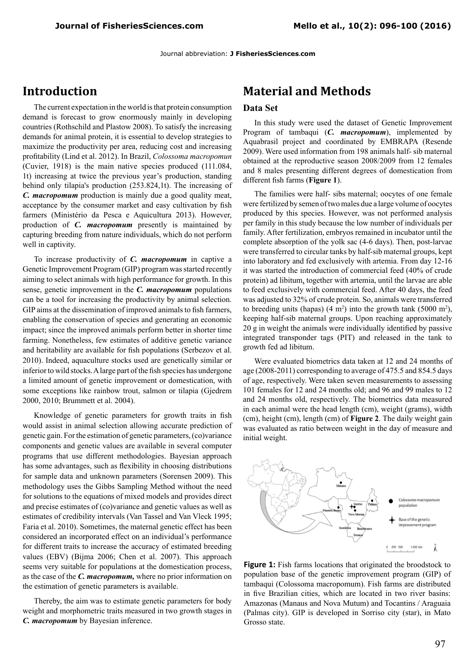Journal abbreviation: **J FisheriesSciences.com**

## **Introduction**

The current expectation in the world is that protein consumption demand is forecast to grow enormously mainly in developing countries (Rothschild and Plastow 2008). To satisfy the increasing demands for animal protein, it is essential to develop strategies to maximize the productivity per area, reducing cost and increasing profitability (Lind et al. 2012). In Brazil, *Colossoma macropomun* (Cuvier, 1918) is the main native species produced (111.084, 1t) increasing at twice the previous year's production, standing behind only tilapia's production (253.824,1t). The increasing of *C. macropomum* production is mainly due a good quality meat, acceptance by the consumer market and easy cultivation by fish farmers (Ministério da Pesca e Aquicultura 2013). However, production of *C. macropomum* presently is maintained by capturing breeding from nature individuals, which do not perform well in captivity.

To increase productivity of *C. macropomum* in captive a Genetic Improvement Program (GIP) program was started recently aiming to select animals with high performance for growth. In this sense, genetic improvement in the *C. macropomum* populations can be a tool for increasing the productivity by animal selection. GIP aims at the dissemination of improved animals to fish farmers, enabling the conservation of species and generating an economic impact; since the improved animals perform better in shorter time farming. Nonetheless, few estimates of additive genetic variance and heritability are available for fish populations (Serbezov et al. 2010). Indeed, aquaculture stocks used are genetically similar or inferior to wild stocks. A large part of the fish species has undergone a limited amount of genetic improvement or domestication, with some exceptions like rainbow trout, salmon or tilapia (Gjedrem 2000, 2010; Brummett et al. 2004).

Knowledge of genetic parameters for growth traits in fish would assist in animal selection allowing accurate prediction of genetic gain. For the estimation of genetic parameters, (co)variance components and genetic values are available in several computer programs that use different methodologies. Bayesian approach has some advantages, such as flexibility in choosing distributions for sample data and unknown parameters (Sorensen 2009). This methodology uses the Gibbs Sampling Method without the need for solutions to the equations of mixed models and provides direct and precise estimates of (co)variance and genetic values as well as estimates of credibility intervals (Van Tassel and Van Vleck 1995; Faria et al. 2010). Sometimes, the maternal genetic effect has been considered an incorporated effect on an individual's performance for different traits to increase the accuracy of estimated breeding values (EBV) (Bijma 2006; Chen et al. 2007). This approach seems very suitable for populations at the domestication process, as the case of the *C. macropomum,* where no prior information on the estimation of genetic parameters is available.

Thereby, the aim was to estimate genetic parameters for body weight and morphometric traits measured in two growth stages in *C. macropomum* by Bayesian inference.

## **Material and Methods**

#### **Data Set**

In this study were used the dataset of Genetic Improvement Program of tambaqui (*C. macropomum*), implemented by Aquabrasil project and coordinated by EMBRAPA (Resende 2009). Were used information from 198 animals half- sib maternal obtained at the reproductive season 2008/2009 from 12 females and 8 males presenting different degrees of domestication from different fish farms (**Figure 1**).

The families were half- sibs maternal; oocytes of one female were fertilized by semen of two males due a large volume of oocytes produced by this species. However, was not performed analysis per family in this study because the low number of individuals per family. After fertilization, embryos remained in incubator until the complete absorption of the yolk sac (4-6 days). Then, post-larvae were transferred to circular tanks by half-sib maternal groups, kept into laboratory and fed exclusively with artemia. From day 12-16 it was started the introduction of commercial feed (40% of crude protein) ad libitum, together with artemia, until the larvae are able to feed exclusively with commercial feed. After 40 days, the feed was adjusted to 32% of crude protein. So, animals were transferred to breeding units (hapas)  $(4 \text{ m}^2)$  into the growth tank (5000 m<sup>2</sup>), keeping half-sib maternal groups. Upon reaching approximately 20 g in weight the animals were individually identified by passive integrated transponder tags (PIT) and released in the tank to growth fed ad libitum.

Were evaluated biometrics data taken at 12 and 24 months of age (2008-2011) corresponding to average of 475.5 and 854.5 days of age, respectively. Were taken seven measurements to assessing 101 females for 12 and 24 months old; and 96 and 99 males to 12 and 24 months old, respectively. The biometrics data measured in each animal were the head length (cm), weight (grams), width (cm), height (cm), length (cm) of **Figure 2**. The daily weight gain was evaluated as ratio between weight in the day of measure and initial weight.



**Figure 1:** Fish farms locations that originated the broodstock to population base of the genetic improvement program (GIP) of tambaqui (Colossoma macropomum). Fish farms are distributed in five Brazilian cities, which are located in two river basins: Amazonas (Manaus and Nova Mutum) and Tocantins / Araguaia (Palmas city). GIP is developed in Sorriso city (star), in Mato Grosso state.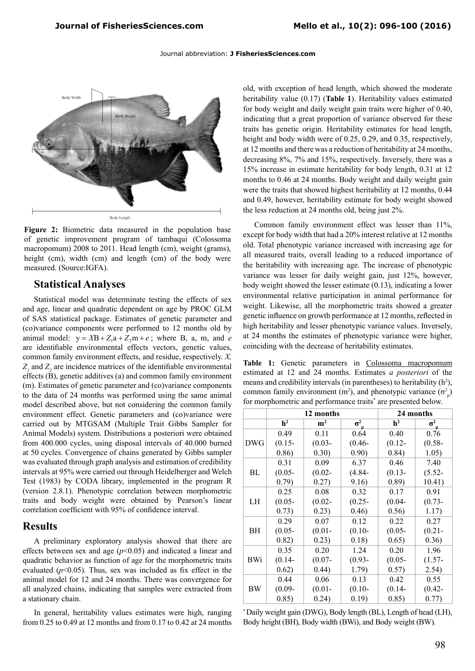#### Journal abbreviation: **J FisheriesSciences.com**



**Figure 2:** Biometric data measured in the population base of genetic improvement program of tambaqui (Colossoma macropomum) 2008 to 2011. Head length (cm), weight (grams), height (cm), width (cm) and length (cm) of the body were measured. (Source:IGFA).

#### **Statistical Analyses**

Statistical model was determinate testing the effects of sex and age, linear and quadratic dependent on age by PROC GLM of SAS statistical package. Estimates of genetic parameter and (co)variance components were performed to 12 months old by animal model:  $y = XB + Z_1a + Z_2m + e$ ; where B, a, m, and *e* are identifiable environmental effects vectors, genetic values, common family environment effects, and residue, respectively. *X,*   $Z_1$  and  $Z_2$  are incidence matrices of the identifiable environmental effects (B), genetic additives (a) and common family environment (m). Estimates of genetic parameter and (co)variance components to the data of 24 months was performed using the same animal model described above, but not considering the common family environment effect. Genetic parameters and (co)variance were carried out by MTGSAM (Multiple Trait Gibbs Sampler for Animal Models) system. Distributions a posteriori were obtained from 400.000 cycles, using disposal intervals of 40.000 burned at 50 cycles. Convergence of chains generated by Gibbs sampler was evaluated through graph analysis and estimation of credibility intervals at 95% were carried out through Heidelberger and Welch Test (1983) by CODA library, implemented in the program R (version 2.8.1). Phenotypic correlation between morphometric traits and body weight were obtained by Pearson's linear correlation coefficient with 95% of confidence interval.

#### **Results**

A preliminary exploratory analysis showed that there are effects between sex and age (*p*<0.05) and indicated a linear and quadratic behavior as function of age for the morphometric traits evaluated  $(p<0.05)$ . Thus, sex was included as fix effect in the animal model for 12 and 24 months. There was convergence for all analyzed chains, indicating that samples were extracted from a stationary chain.

In general, heritability values estimates were high, ranging from 0.25 to 0.49 at 12 months and from 0.17 to 0.42 at 24 months old, with exception of head length, which showed the moderate heritability value (0.17) (**Table 1**). Heritability values estimated for body weight and daily weight gain traits were higher of 0.40, indicating that a great proportion of variance observed for these traits has genetic origin. Heritability estimates for head length, height and body width were of 0.25, 0.29, and 0.35, respectively, at 12 months and there was a reduction of heritability at 24 months, decreasing 8%, 7% and 15%, respectively. Inversely, there was a 15% increase in estimate heritability for body length, 0.31 at 12 months to 0.46 at 24 months. Body weight and daily weight gain were the traits that showed highest heritability at 12 months, 0.44 and 0.49, however, heritability estimate for body weight showed the less reduction at 24 months old, being just 2%.

Common family environment effect was lesser than 11%, except for body width that had a 20% interest relative at 12 months old. Total phenotypic variance increased with increasing age for all measured traits, overall leading to a reduced importance of the heritability with increasing age. The increase of phenotypic variance was lesser for daily weight gain, just 12%, however, body weight showed the lesser estimate (0.13), indicating a lower environmental relative participation in animal performance for weight. Likewise, all the morphometric traits showed a greater genetic influence on growth performance at 12 months, reflected in high heritability and lesser phenotypic variance values. Inversely, at 24 months the estimates of phenotypic variance were higher, coinciding with the decrease of heritability estimates.

**Table 1:** Genetic parameters in Colossoma macropomum estimated at 12 and 24 months. Estimates *a posteriori* of the means and credibility intervals (in parentheses) to heritability  $(h^2)$ , common family environment (m<sup>2</sup>), and phenotypic variance ( $\sigma_p^2$ ) for morphometric and performance traits<sup>\*</sup> are presented below.

|            | 12 months      |             |            | 24 months      |            |
|------------|----------------|-------------|------------|----------------|------------|
|            | h <sup>2</sup> | ${\bf m}^2$ | $\sigma^2$ | h <sup>2</sup> | $\sigma^2$ |
| <b>DWG</b> | 0.49           | 0.11        | 0.64       | 0.40           | 0.76       |
|            | $(0.15 -$      | $(0.03 -$   | $(0.46 -$  | $(0.12 -$      | $(0.58 -$  |
|            | 0.86)          | 0.30)       | 0.90)      | 0.84)          | 1.05)      |
| BL         | 0.31           | 0.09        | 6.37       | 0.46           | 7.40       |
|            | $(0.05 -$      | $(0.02 -$   | $(4.84 -$  | $(0.13 -$      | $(5.52 -$  |
|            | 0.79)          | 0.27)       | 9.16)      | 0.89)          | 10.41)     |
| LH         | 0.25           | 0.08        | 0.32       | 0.17           | 0.91       |
|            | $(0.05 -$      | $(0.02 -$   | $(0.25 -$  | $(0.04 -$      | $(0.73 -$  |
|            | 0.73)          | 0.23)       | 0.46)      | 0.56)          | 1.17)      |
| ВH         | 0.29           | 0.07        | 0.12       | 0.22           | 0.27       |
|            | $(0.05 -$      | $(0.01 -$   | $(0.10 -$  | $(0.05 -$      | $(0.21 -$  |
|            | 0.82)          | 0.23)       | 0.18)      | 0.65)          | 0.36)      |
| BWi        | 0.35           | 0.20        | 1.24       | 0.20           | 1.96       |
|            | $(0.14 -$      | $(0.07 -$   | $(0.93 -$  | $(0.05 -$      | $(1.57 -$  |
|            | 0.62)          | 0.44)       | 1.79)      | 0.57)          | 2.54)      |
| BW         | 0.44           | 0.06        | 0.13       | 0.42           | 0.55       |
|            | $(0.09 -$      | $(0.01 -$   | $(0.10 -$  | $(0.14 -$      | $(0.42 -$  |
|            | 0.85)          | 0.24)       | 0.19)      | 0.85)          | 0.77)      |

\* Daily weight gain (DWG), Body length (BL), Length of head (LH), Body height (BH), Body width (BWi), and Body weight (BW).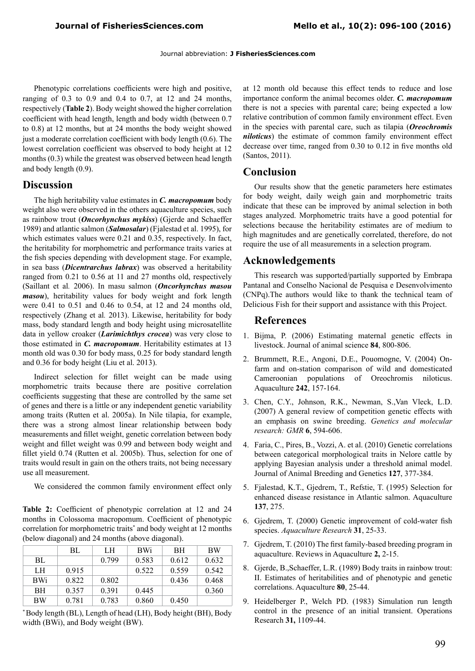Phenotypic correlations coefficients were high and positive, ranging of  $0.3$  to  $0.9$  and  $0.4$  to  $0.7$ , at  $12$  and  $24$  months, respectively (**Table 2**). Body weight showed the higher correlation coefficient with head length, length and body width (between 0.7 to 0.8) at 12 months, but at 24 months the body weight showed just a moderate correlation coefficient with body length (0.6). The lowest correlation coefficient was observed to body height at 12 months (0.3) while the greatest was observed between head length and body length (0.9).

#### **Discussion**

The high heritability value estimates in *C. macropomum* body weight also were observed in the others aquaculture species, such as rainbow trout (*Oncorhynchus mykiss*) (Gjerde and Schaeffer 1989) and atlantic salmon (*Salmosalar*) (Fjalestad et al. 1995), for which estimates values were 0.21 and 0.35, respectively. In fact, the heritability for morphometric and performance traits varies at the fish species depending with development stage. For example, in sea bass (*Dicentrarchus labrax*) was observed a heritability ranged from 0.21 to 0.56 at 11 and 27 months old, respectively (Saillant et al*.* 2006). In masu salmon (*Oncorhynchus masou masou*), heritability values for body weight and fork length were 0.41 to 0.51 and 0.46 to 0.54, at 12 and 24 months old, respectively (Zhang et al*.* 2013). Likewise, heritability for body mass, body standard length and body height using microsatellite data in yellow croaker (*Larimichthys crocea*) was very close to those estimated in *C. macropomum*. Heritability estimates at 13 month old was 0.30 for body mass, 0.25 for body standard length and 0.36 for body height (Liu et al. 2013).

Indirect selection for fillet weight can be made using morphometric traits because there are positive correlation coefficients suggesting that these are controlled by the same set of genes and there is a little or any independent genetic variability among traits (Rutten et al. 2005a). In Nile tilapia, for example, there was a strong almost linear relationship between body measurements and fillet weight, genetic correlation between body weight and fillet weight was 0.99 and between body weight and fillet yield 0.74 (Rutten et al. 2005b). Thus, selection for one of traits would result in gain on the others traits, not being necessary use all measurement.

We considered the common family environment effect only

**Table 2:** Coefficient of phenotypic correlation at 12 and 24 months in Colossoma macropomum. Coefficient of phenotypic correlation for morphometric traits\* and body weight at 12 months (below diagonal) and 24 months (above diagonal).

|            | BL    | LH    | <b>BWi</b> | BH    | <b>BW</b> |
|------------|-------|-------|------------|-------|-----------|
| BL.        |       | 0.799 | 0.583      | 0.612 | 0.632     |
| LH         | 0.915 |       | 0.522      | 0.559 | 0.542     |
| <b>BWi</b> | 0.822 | 0.802 |            | 0.436 | 0.468     |
| <b>BH</b>  | 0.357 | 0.391 | 0.445      |       | 0.360     |
| BW         | 0.781 | 0.783 | 0.860      | 0.450 |           |

\* Body length (BL), Length of head (LH), Body height (BH), Body width (BWi), and Body weight (BW).

at 12 month old because this effect tends to reduce and lose importance conform the animal becomes older. *C. macropomum* there is not a species with parental care; being expected a low relative contribution of common family environment effect. Even in the species with parental care, such as tilapia (*Oreochromis niloticus*) the estimate of common family environment effect decrease over time, ranged from 0.30 to 0.12 in five months old (Santos, 2011).

#### **Conclusion**

Our results show that the genetic parameters here estimates for body weight, daily weigh gain and morphometric traits indicate that these can be improved by animal selection in both stages analyzed. Morphometric traits have a good potential for selections because the heritability estimates are of medium to high magnitudes and are genetically correlated, therefore, do not require the use of all measurements in a selection program.

#### **Acknowledgements**

This research was supported/partially supported by Embrapa Pantanal and Conselho Nacional de Pesquisa e Desenvolvimento (CNPq).The authors would like to thank the technical team of Delicious Fish for their support and assistance with this Project.

#### **References**

- 1. Bijma, P. (2006) Estimating maternal genetic effects in livestock. Journal of animal science **84**, 800-806.
- 2. Brummett, R.E., Angoni, D.E., Pouomogne, V. (2004) Onfarm and on-station comparison of wild and domesticated Cameroonian populations of Oreochromis niloticus. Aquaculture **242**, 157-164.
- 3. Chen, C.Y., Johnson, R.K., Newman, S.,Van Vleck, L.D. (2007) A general review of competition genetic effects with an emphasis on swine breeding. *Genetics and molecular research: GMR* **6**, 594-606.
- 4. Faria, C., Pires, B., Vozzi, A. et al. (2010) Genetic correlations between categorical morphological traits in Nelore cattle by applying Bayesian analysis under a threshold animal model. Journal of Animal Breeding and Genetics **127**, 377-384.
- 5. Fjalestad, K.T., Gjedrem, T., Refstie, T. (1995) Selection for enhanced disease resistance in Atlantic salmon. Aquaculture **137**, 275.
- 6. Gjedrem, T. (2000) Genetic improvement of cold-water fish species. *Aquaculture Research* **31**, 25-33.
- 7. Gjedrem, T. (2010) The first family-based breeding program in aquaculture. Reviews in Aquaculture **2,** 2-15.
- 8. Gjerde, B.,Schaeffer, L.R. (1989) Body traits in rainbow trout: II. Estimates of heritabilities and of phenotypic and genetic correlations. Aquaculture **80**, 25-44.
- 9. Heidelberger P., Welch PD. (1983) Simulation run length control in the presence of an initial transient. Operations Research **31,** 1109-44.